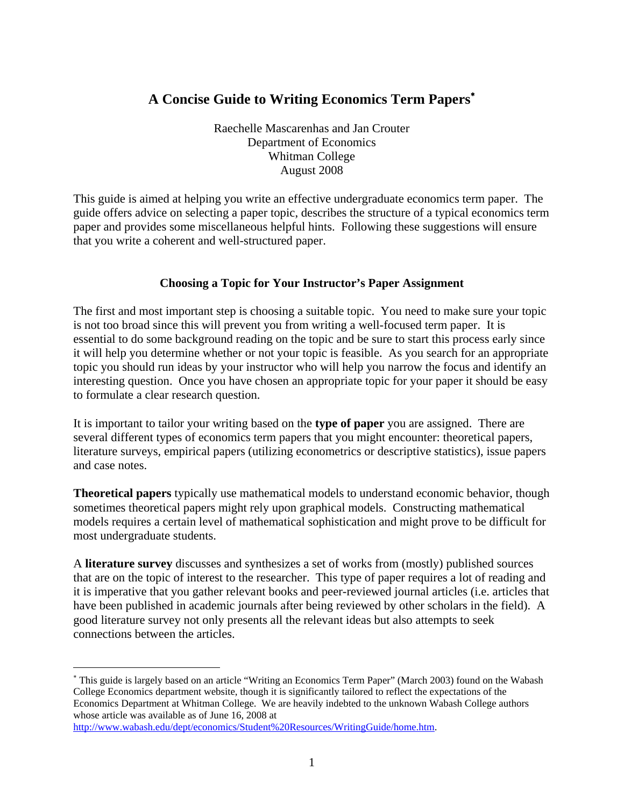# **A Concise Guide to Writing Economics Term Papers**<sup>∗</sup>

Raechelle Mascarenhas and Jan Crouter Department of Economics Whitman College August 2008

This guide is aimed at helping you write an effective undergraduate economics term paper. The guide offers advice on selecting a paper topic, describes the structure of a typical economics term paper and provides some miscellaneous helpful hints. Following these suggestions will ensure that you write a coherent and well-structured paper.

# **Choosing a Topic for Your Instructor's Paper Assignment**

The first and most important step is choosing a suitable topic. You need to make sure your topic is not too broad since this will prevent you from writing a well-focused term paper. It is essential to do some background reading on the topic and be sure to start this process early since it will help you determine whether or not your topic is feasible. As you search for an appropriate topic you should run ideas by your instructor who will help you narrow the focus and identify an interesting question. Once you have chosen an appropriate topic for your paper it should be easy to formulate a clear research question.

It is important to tailor your writing based on the **type of paper** you are assigned. There are several different types of economics term papers that you might encounter: theoretical papers, literature surveys, empirical papers (utilizing econometrics or descriptive statistics), issue papers and case notes.

**Theoretical papers** typically use mathematical models to understand economic behavior, though sometimes theoretical papers might rely upon graphical models. Constructing mathematical models requires a certain level of mathematical sophistication and might prove to be difficult for most undergraduate students.

A **literature survey** discusses and synthesizes a set of works from (mostly) published sources that are on the topic of interest to the researcher. This type of paper requires a lot of reading and it is imperative that you gather relevant books and peer-reviewed journal articles (i.e. articles that have been published in academic journals after being reviewed by other scholars in the field). A good literature survey not only presents all the relevant ideas but also attempts to seek connections between the articles.

1

<sup>∗</sup> This guide is largely based on an article "Writing an Economics Term Paper" (March 2003) found on the Wabash College Economics department website, though it is significantly tailored to reflect the expectations of the Economics Department at Whitman College. We are heavily indebted to the unknown Wabash College authors whose article was available as of June 16, 2008 at

http://www.wabash.edu/dept/economics/Student%20Resources/WritingGuide/home.htm.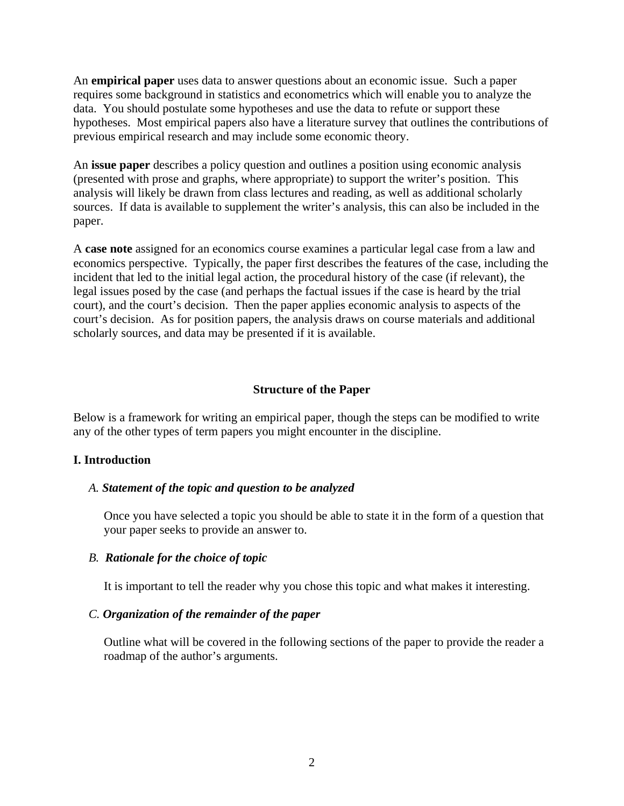An **empirical paper** uses data to answer questions about an economic issue. Such a paper requires some background in statistics and econometrics which will enable you to analyze the data. You should postulate some hypotheses and use the data to refute or support these hypotheses. Most empirical papers also have a literature survey that outlines the contributions of previous empirical research and may include some economic theory.

An **issue paper** describes a policy question and outlines a position using economic analysis (presented with prose and graphs, where appropriate) to support the writer's position. This analysis will likely be drawn from class lectures and reading, as well as additional scholarly sources. If data is available to supplement the writer's analysis, this can also be included in the paper.

A **case note** assigned for an economics course examines a particular legal case from a law and economics perspective. Typically, the paper first describes the features of the case, including the incident that led to the initial legal action, the procedural history of the case (if relevant), the legal issues posed by the case (and perhaps the factual issues if the case is heard by the trial court), and the court's decision. Then the paper applies economic analysis to aspects of the court's decision. As for position papers, the analysis draws on course materials and additional scholarly sources, and data may be presented if it is available.

#### **Structure of the Paper**

Below is a framework for writing an empirical paper, though the steps can be modified to write any of the other types of term papers you might encounter in the discipline.

#### **I. Introduction**

#### *A. Statement of the topic and question to be analyzed*

Once you have selected a topic you should be able to state it in the form of a question that your paper seeks to provide an answer to.

#### *B. Rationale for the choice of topic*

It is important to tell the reader why you chose this topic and what makes it interesting.

#### *C. Organization of the remainder of the paper*

Outline what will be covered in the following sections of the paper to provide the reader a roadmap of the author's arguments.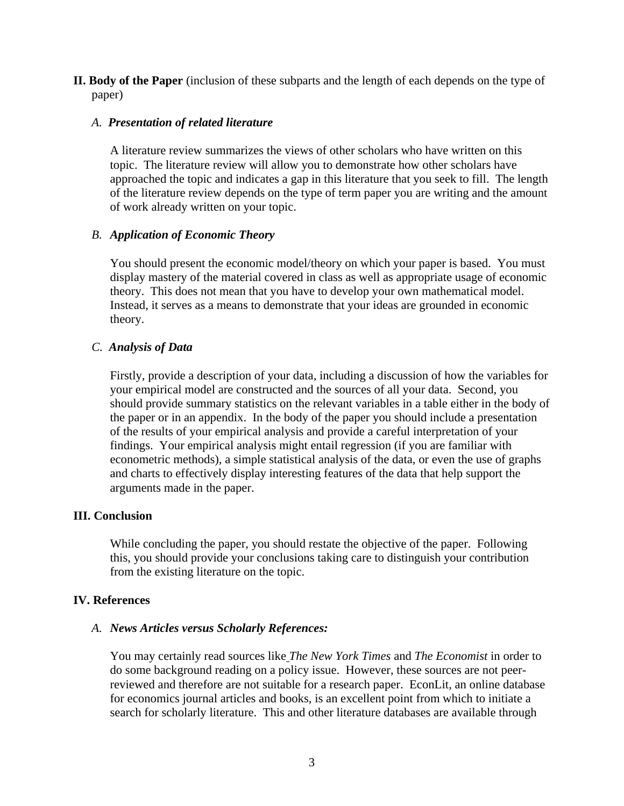**II. Body of the Paper** (inclusion of these subparts and the length of each depends on the type of paper)

### *A. Presentation of related literature*

A literature review summarizes the views of other scholars who have written on this topic. The literature review will allow you to demonstrate how other scholars have approached the topic and indicates a gap in this literature that you seek to fill. The length of the literature review depends on the type of term paper you are writing and the amount of work already written on your topic.

# *B. Application of Economic Theory*

You should present the economic model/theory on which your paper is based. You must display mastery of the material covered in class as well as appropriate usage of economic theory. This does not mean that you have to develop your own mathematical model. Instead, it serves as a means to demonstrate that your ideas are grounded in economic theory.

# *C. Analysis of Data*

Firstly, provide a description of your data, including a discussion of how the variables for your empirical model are constructed and the sources of all your data. Second, you should provide summary statistics on the relevant variables in a table either in the body of the paper or in an appendix. In the body of the paper you should include a presentation of the results of your empirical analysis and provide a careful interpretation of your findings. Your empirical analysis might entail regression (if you are familiar with econometric methods), a simple statistical analysis of the data, or even the use of graphs and charts to effectively display interesting features of the data that help support the arguments made in the paper.

#### **III. Conclusion**

While concluding the paper, you should restate the objective of the paper. Following this, you should provide your conclusions taking care to distinguish your contribution from the existing literature on the topic.

#### **IV. References**

#### *A. News Articles versus Scholarly References:*

You may certainly read sources like *The New York Times* and *The Economist* in order to do some background reading on a policy issue. However, these sources are not peerreviewed and therefore are not suitable for a research paper. EconLit, an online database for economics journal articles and books, is an excellent point from which to initiate a search for scholarly literature. This and other literature databases are available through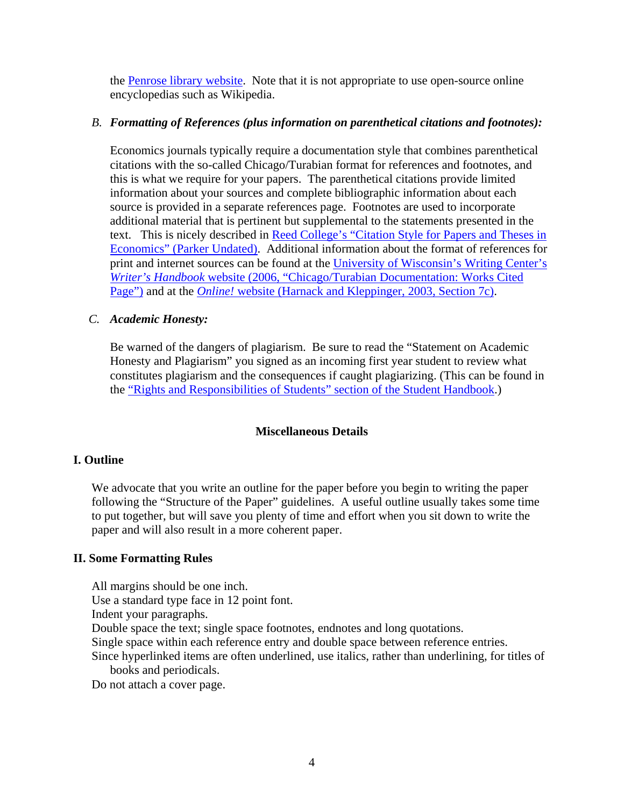the Penrose library website. Note that it is not appropriate to use open-source online encyclopedias such as Wikipedia.

# *B. Formatting of References (plus information on parenthetical citations and footnotes):*

Economics journals typically require a documentation style that combines parenthetical citations with the so-called Chicago/Turabian format for references and footnotes, and this is what we require for your papers. The parenthetical citations provide limited information about your sources and complete bibliographic information about each source is provided in a separate references page. Footnotes are used to incorporate additional material that is pertinent but supplemental to the statements presented in the text. This is nicely described in Reed College's "Citation Style for Papers and Theses in Economics" (Parker Undated). Additional information about the format of references for print and internet sources can be found at the University of Wisconsin's Writing Center's *Writer's Handbook* website (2006, "Chicago/Turabian Documentation: Works Cited Page") and at the *Online!* website (Harnack and Kleppinger, 2003, Section 7c).

# *C. Academic Honesty:*

Be warned of the dangers of plagiarism. Be sure to read the "Statement on Academic Honesty and Plagiarism" you signed as an incoming first year student to review what constitutes plagiarism and the consequences if caught plagiarizing. (This can be found in the "Rights and Responsibilities of Students" section of the Student Handbook.)

#### **Miscellaneous Details**

#### **I. Outline**

We advocate that you write an outline for the paper before you begin to writing the paper following the "Structure of the Paper" guidelines. A useful outline usually takes some time to put together, but will save you plenty of time and effort when you sit down to write the paper and will also result in a more coherent paper.

#### **II. Some Formatting Rules**

All margins should be one inch. Use a standard type face in 12 point font. Indent your paragraphs. Double space the text; single space footnotes, endnotes and long quotations. Single space within each reference entry and double space between reference entries.

Since hyperlinked items are often underlined, use italics, rather than underlining, for titles of books and periodicals.

Do not attach a cover page.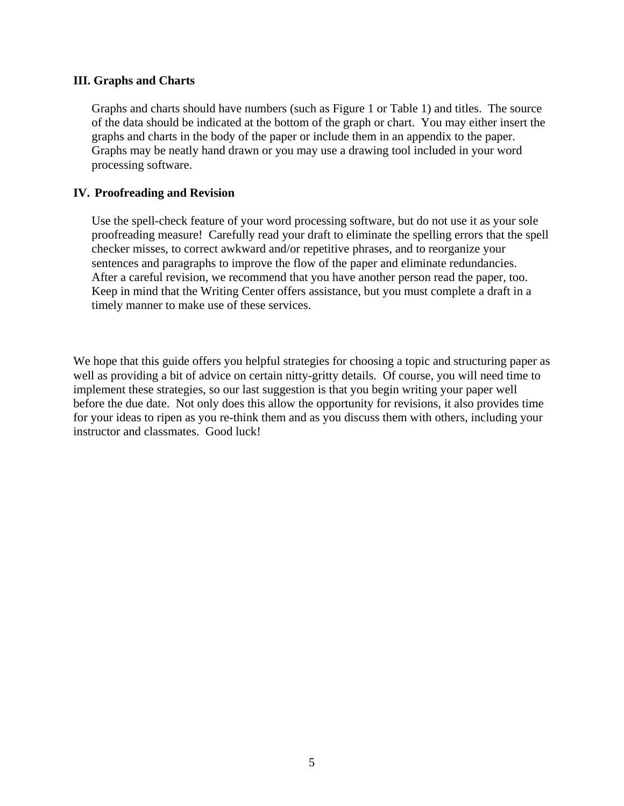### **III. Graphs and Charts**

Graphs and charts should have numbers (such as Figure 1 or Table 1) and titles. The source of the data should be indicated at the bottom of the graph or chart. You may either insert the graphs and charts in the body of the paper or include them in an appendix to the paper. Graphs may be neatly hand drawn or you may use a drawing tool included in your word processing software.

# **IV. Proofreading and Revision**

Use the spell-check feature of your word processing software, but do not use it as your sole proofreading measure! Carefully read your draft to eliminate the spelling errors that the spell checker misses, to correct awkward and/or repetitive phrases, and to reorganize your sentences and paragraphs to improve the flow of the paper and eliminate redundancies. After a careful revision, we recommend that you have another person read the paper, too. Keep in mind that the Writing Center offers assistance, but you must complete a draft in a timely manner to make use of these services.

We hope that this guide offers you helpful strategies for choosing a topic and structuring paper as well as providing a bit of advice on certain nitty-gritty details. Of course, you will need time to implement these strategies, so our last suggestion is that you begin writing your paper well before the due date. Not only does this allow the opportunity for revisions, it also provides time for your ideas to ripen as you re-think them and as you discuss them with others, including your instructor and classmates. Good luck!